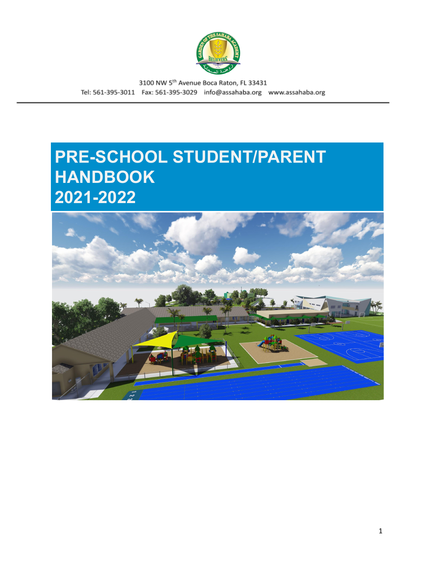

# **PRE-SCHOOL STUDENT/PARENT HANDBOOK 2021-2022**

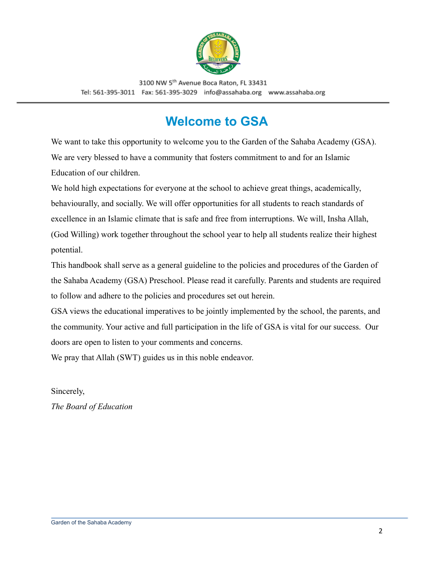

# **Welcome to GSA**

<span id="page-1-0"></span>We want to take this opportunity to welcome you to the Garden of the Sahaba Academy (GSA). We are very blessed to have a community that fosters commitment to and for an Islamic Education of our children.

We hold high expectations for everyone at the school to achieve great things, academically, behaviourally, and socially. We will offer opportunities for all students to reach standards of excellence in an Islamic climate that is safe and free from interruptions. We will, Insha Allah, (God Willing) work together throughout the school year to help all students realize their highest potential.

This handbook shall serve as a general guideline to the policies and procedures of the Garden of the Sahaba Academy (GSA) Preschool. Please read it carefully. Parents and students are required to follow and adhere to the policies and procedures set out herein.

GSA views the educational imperatives to be jointly implemented by the school, the parents, and the community. Your active and full participation in the life of GSA is vital for our success. Our doors are open to listen to your comments and concerns.

We pray that Allah (SWT) guides us in this noble endeavor.

Sincerely, *The Board of Education*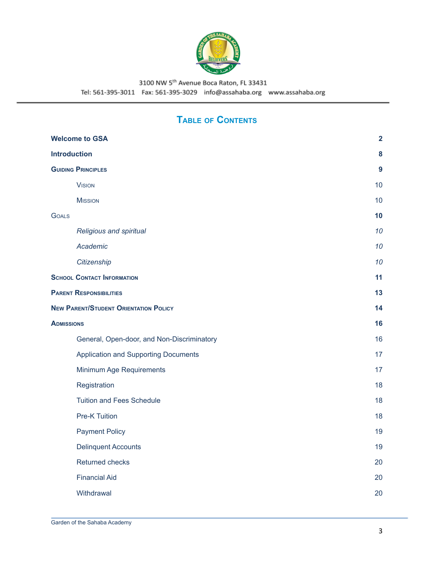

# **TABLE OF CONTENTS**

| <b>Welcome to GSA</b>                        | $\overline{2}$   |
|----------------------------------------------|------------------|
| <b>Introduction</b>                          | 8                |
| <b>GUIDING PRINCIPLES</b>                    | $\boldsymbol{9}$ |
| <b>VISION</b>                                | 10               |
| <b>MISSION</b>                               | 10               |
| <b>GOALS</b>                                 | 10               |
| Religious and spiritual                      | 10               |
| Academic                                     | 10               |
| Citizenship                                  | 10               |
| <b>SCHOOL CONTACT INFORMATION</b>            | 11               |
| <b>PARENT RESPONSIBILITIES</b>               | 13               |
| <b>NEW PARENT/STUDENT ORIENTATION POLICY</b> | 14               |
| <b>ADMISSIONS</b>                            | 16               |
| General, Open-door, and Non-Discriminatory   | 16               |
| <b>Application and Supporting Documents</b>  | 17               |
| Minimum Age Requirements                     | 17               |
| Registration                                 | 18               |
| <b>Tuition and Fees Schedule</b>             | 18               |
| <b>Pre-K Tuition</b>                         | 18               |
| <b>Payment Policy</b>                        | 19               |
| <b>Delinquent Accounts</b>                   | 19               |
| Returned checks                              | 20               |
| <b>Financial Aid</b>                         | 20               |
| Withdrawal                                   | 20               |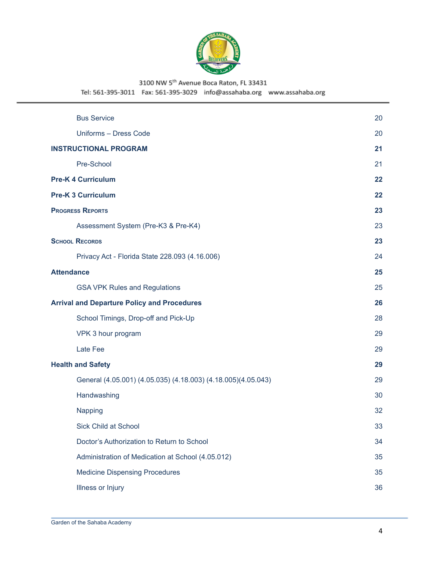

Tel: 561-395-3011 Fax: 561-395-3029 info@assahaba.org www.assahaba.org

| <b>Bus Service</b>                                            | 20 |
|---------------------------------------------------------------|----|
| Uniforms - Dress Code                                         | 20 |
| <b>INSTRUCTIONAL PROGRAM</b>                                  | 21 |
| Pre-School                                                    | 21 |
| <b>Pre-K 4 Curriculum</b>                                     | 22 |
| <b>Pre-K 3 Curriculum</b>                                     | 22 |
| <b>PROGRESS REPORTS</b>                                       | 23 |
| Assessment System (Pre-K3 & Pre-K4)                           | 23 |
| <b>SCHOOL RECORDS</b>                                         | 23 |
| Privacy Act - Florida State 228.093 (4.16.006)                | 24 |
| <b>Attendance</b>                                             | 25 |
| <b>GSA VPK Rules and Regulations</b>                          | 25 |
| <b>Arrival and Departure Policy and Procedures</b>            | 26 |
| School Timings, Drop-off and Pick-Up                          | 28 |
| VPK 3 hour program                                            | 29 |
| Late Fee                                                      | 29 |
| <b>Health and Safety</b>                                      | 29 |
| General (4.05.001) (4.05.035) (4.18.003) (4.18.005)(4.05.043) | 29 |
| Handwashing                                                   | 30 |
| Napping                                                       | 32 |
| Sick Child at School                                          | 33 |
| Doctor's Authorization to Return to School                    | 34 |
| Administration of Medication at School (4.05.012)             | 35 |
| <b>Medicine Dispensing Procedures</b>                         | 35 |
| Illness or Injury                                             | 36 |
|                                                               |    |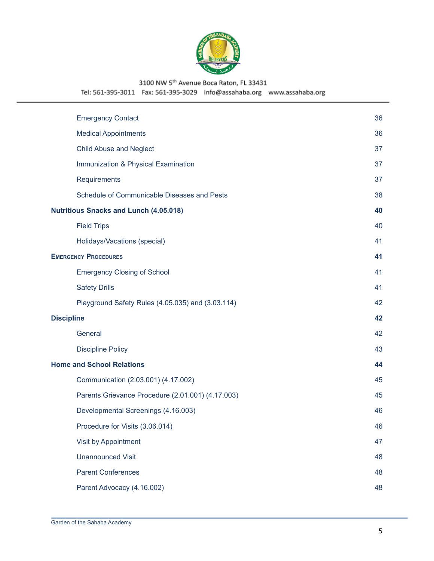

Tel: 561-395-3011 Fax: 561-395-3029 info@assahaba.org www.assahaba.org

| <b>Emergency Contact</b>                          | 36 |
|---------------------------------------------------|----|
| <b>Medical Appointments</b>                       | 36 |
| <b>Child Abuse and Neglect</b>                    | 37 |
| Immunization & Physical Examination               | 37 |
| Requirements                                      | 37 |
| Schedule of Communicable Diseases and Pests       | 38 |
| <b>Nutritious Snacks and Lunch (4.05.018)</b>     | 40 |
| <b>Field Trips</b>                                | 40 |
| Holidays/Vacations (special)                      | 41 |
| <b>EMERGENCY PROCEDURES</b>                       | 41 |
| <b>Emergency Closing of School</b>                | 41 |
| <b>Safety Drills</b>                              | 41 |
| Playground Safety Rules (4.05.035) and (3.03.114) | 42 |
| <b>Discipline</b>                                 | 42 |
| General                                           | 42 |
| <b>Discipline Policy</b>                          | 43 |
| <b>Home and School Relations</b>                  | 44 |
| Communication (2.03.001) (4.17.002)               | 45 |
| Parents Grievance Procedure (2.01.001) (4.17.003) | 45 |
| Developmental Screenings (4.16.003)               | 46 |
| Procedure for Visits (3.06.014)                   | 46 |
| Visit by Appointment                              | 47 |
| <b>Unannounced Visit</b>                          | 48 |
| <b>Parent Conferences</b>                         | 48 |
| Parent Advocacy (4.16.002)                        | 48 |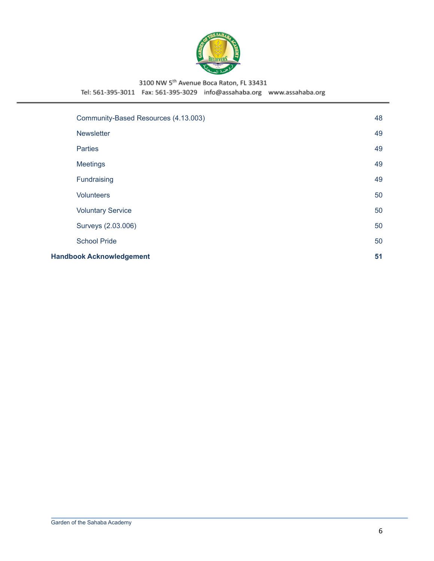

Tel: 561-395-3011 Fax: 561-395-3029 info@assahaba.org www.assahaba.org

| Community-Based Resources (4.13.003) | 48 |
|--------------------------------------|----|
| <b>Newsletter</b>                    | 49 |
| <b>Parties</b>                       | 49 |
| <b>Meetings</b>                      | 49 |
| Fundraising                          | 49 |
| <b>Volunteers</b>                    | 50 |
| <b>Voluntary Service</b>             | 50 |
| Surveys (2.03.006)                   | 50 |
| <b>School Pride</b>                  | 50 |
| <b>Handbook Acknowledgement</b>      | 51 |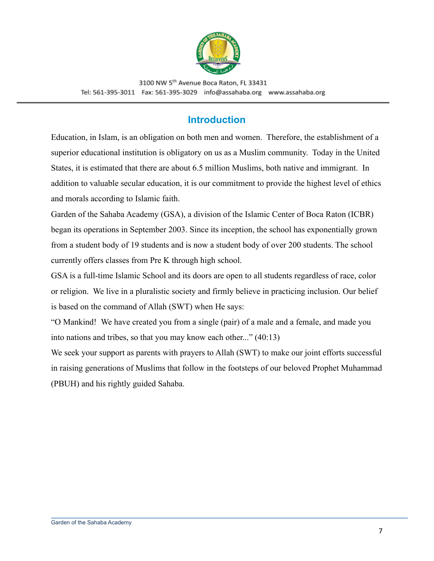

## **Introduction**

<span id="page-6-0"></span>Education, in Islam, is an obligation on both men and women. Therefore, the establishment of a superior educational institution is obligatory on us as a Muslim community. Today in the United States, it is estimated that there are about 6.5 million Muslims, both native and immigrant. In addition to valuable secular education, it is our commitment to provide the highest level of ethics and morals according to Islamic faith.

Garden of the Sahaba Academy (GSA), a division of the Islamic Center of Boca Raton (ICBR) began its operations in September 2003. Since its inception, the school has exponentially grown from a student body of 19 students and is now a student body of over 200 students. The school currently offers classes from Pre K through high school.

GSA is a full-time Islamic School and its doors are open to all students regardless of race, color or religion. We live in a pluralistic society and firmly believe in practicing inclusion. Our belief is based on the command of Allah (SWT) when He says:

"O Mankind! We have created you from a single (pair) of a male and a female, and made you into nations and tribes, so that you may know each other..." (40:13)

We seek your support as parents with prayers to Allah (SWT) to make our joint efforts successful in raising generations of Muslims that follow in the footsteps of our beloved Prophet Muhammad (PBUH) and his rightly guided Sahaba.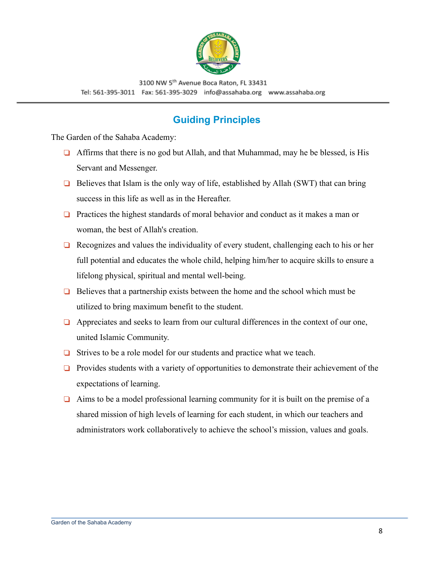

## **Guiding Principles**

<span id="page-7-0"></span>The Garden of the Sahaba Academy:

- ❏ Affirms that there is no god but Allah, and that Muhammad, may he be blessed, is His Servant and Messenger.
- ❏ Believes that Islam is the only way of life, established by Allah (SWT) that can bring success in this life as well as in the Hereafter.
- ❏ Practices the highest standards of moral behavior and conduct as it makes a man or woman, the best of Allah's creation.
- ❏ Recognizes and values the individuality of every student, challenging each to his or her full potential and educates the whole child, helping him/her to acquire skills to ensure a lifelong physical, spiritual and mental well-being.
- ❏ Believes that a partnership exists between the home and the school which must be utilized to bring maximum benefit to the student.
- ❏ Appreciates and seeks to learn from our cultural differences in the context of our one, united Islamic Community.
- ❏ Strives to be a role model for our students and practice what we teach.
- ❏ Provides students with a variety of opportunities to demonstrate their achievement of the expectations of learning.
- ❏ Aims to be a model professional learning community for it is built on the premise of a shared mission of high levels of learning for each student, in which our teachers and administrators work collaboratively to achieve the school's mission, values and goals.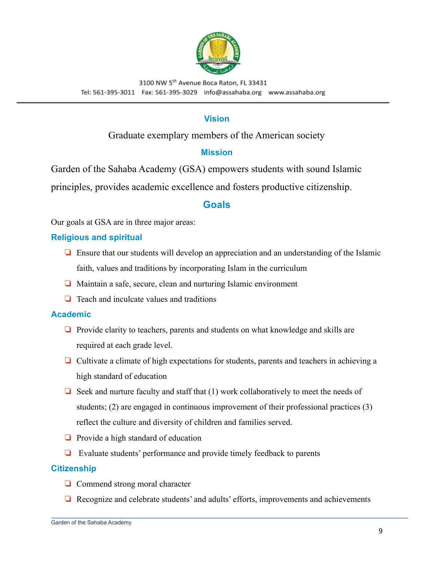

#### **Vision**

#### Graduate exemplary members of the American society

#### **Mission**

<span id="page-8-1"></span><span id="page-8-0"></span>Garden of the Sahaba Academy (GSA) empowers students with sound Islamic principles, provides academic excellence and fosters productive citizenship.

#### **Goals**

<span id="page-8-2"></span>Our goals at GSA are in three major areas:

#### <span id="page-8-3"></span>**Religious and spiritual**

- ❏ Ensure that our students will develop an appreciation and an understanding of the Islamic faith, values and traditions by incorporating Islam in the curriculum
- ❏ Maintain a safe, secure, clean and nurturing Islamic environment
- ❏ Teach and inculcate values and traditions

#### <span id="page-8-4"></span>**Academic**

- ❏ Provide clarity to teachers, parents and students on what knowledge and skills are required at each grade level.
- ❏ Cultivate a climate of high expectations for students, parents and teachers in achieving a high standard of education
- $\Box$  Seek and nurture faculty and staff that (1) work collaboratively to meet the needs of students; (2) are engaged in continuous improvement of their professional practices (3) reflect the culture and diversity of children and families served.
- ❏ Provide a high standard of education
- ❏ Evaluate students' performance and provide timely feedback to parents

#### <span id="page-8-5"></span>**Citizenship**

- ❏ Commend strong moral character
- ❏ Recognize and celebrate students' and adults' efforts, improvements and achievements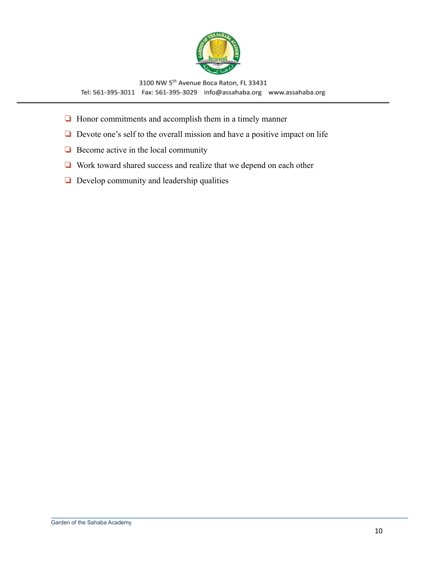

- ❏ Honor commitments and accomplish them in a timely manner
- ❏ Devote one's self to the overall mission and have a positive impact on life
- ❏ Become active in the local community
- ❏ Work toward shared success and realize that we depend on each other
- ❏ Develop community and leadership qualities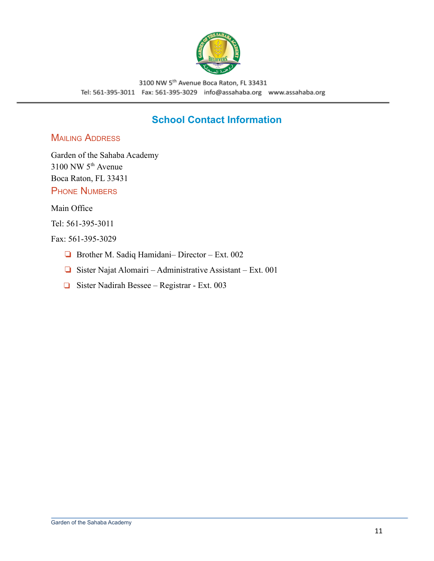

## **School Contact Information**

#### <span id="page-10-0"></span>**MAILING ADDRESS**

Garden of the Sahaba Academy  $3100$  NW  $5<sup>th</sup>$  Avenue Boca Raton, FL 33431 **PHONE NUMBERS** 

Main Office

Tel: 561-395-3011

#### Fax: 561-395-3029

- ❏ Brother M. Sadiq Hamidani– Director Ext. 002
- ❏ Sister Najat Alomairi Administrative Assistant Ext. 001
- ❏ Sister Nadirah Bessee Registrar Ext. 003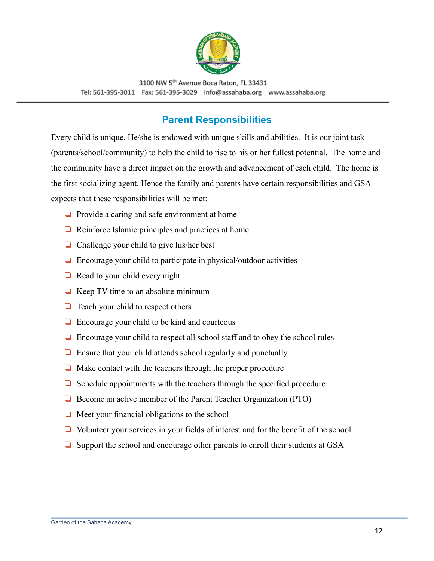

## **Parent Responsibilities**

<span id="page-11-0"></span>Every child is unique. He/she is endowed with unique skills and abilities. It is our joint task (parents/school/community) to help the child to rise to his or her fullest potential. The home and the community have a direct impact on the growth and advancement of each child. The home is the first socializing agent. Hence the family and parents have certain responsibilities and GSA expects that these responsibilities will be met:

- ❏ Provide a caring and safe environment at home
- ❏ Reinforce Islamic principles and practices at home
- ❏ Challenge your child to give his/her best
- ❏ Encourage your child to participate in physical/outdoor activities
- ❏ Read to your child every night
- $\Box$  Keep TV time to an absolute minimum
- ❏ Teach your child to respect others
- ❏ Encourage your child to be kind and courteous
- ❏ Encourage your child to respect all school staff and to obey the school rules
- ❏ Ensure that your child attends school regularly and punctually
- ❏ Make contact with the teachers through the proper procedure
- ❏ Schedule appointments with the teachers through the specified procedure
- ❏ Become an active member of the Parent Teacher Organization (PTO)
- ❏ Meet your financial obligations to the school
- ❏ Volunteer your services in your fields of interest and for the benefit of the school
- ❏ Support the school and encourage other parents to enroll their students at GSA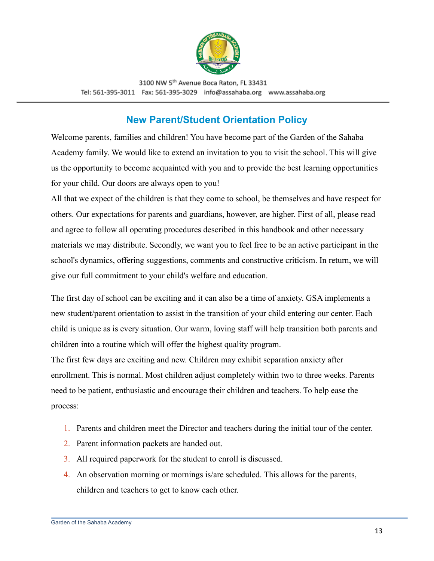

## **New Parent/Student Orientation Policy**

<span id="page-12-0"></span>Welcome parents, families and children! You have become part of the Garden of the Sahaba Academy family. We would like to extend an invitation to you to visit the school. This will give us the opportunity to become acquainted with you and to provide the best learning opportunities for your child. Our doors are always open to you!

All that we expect of the children is that they come to school, be themselves and have respect for others. Our expectations for parents and guardians, however, are higher. First of all, please read and agree to follow all operating procedures described in this handbook and other necessary materials we may distribute. Secondly, we want you to feel free to be an active participant in the school's dynamics, offering suggestions, comments and constructive criticism. In return, we will give our full commitment to your child's welfare and education.

The first day of school can be exciting and it can also be a time of anxiety. GSA implements a new student/parent orientation to assist in the transition of your child entering our center. Each child is unique as is every situation. Our warm, loving staff will help transition both parents and children into a routine which will offer the highest quality program.

The first few days are exciting and new. Children may exhibit separation anxiety after enrollment. This is normal. Most children adjust completely within two to three weeks. Parents need to be patient, enthusiastic and encourage their children and teachers. To help ease the process:

- 1. Parents and children meet the Director and teachers during the initial tour of the center.
- 2. Parent information packets are handed out.
- 3. All required paperwork for the student to enroll is discussed.
- 4. An observation morning or mornings is/are scheduled. This allows for the parents, children and teachers to get to know each other.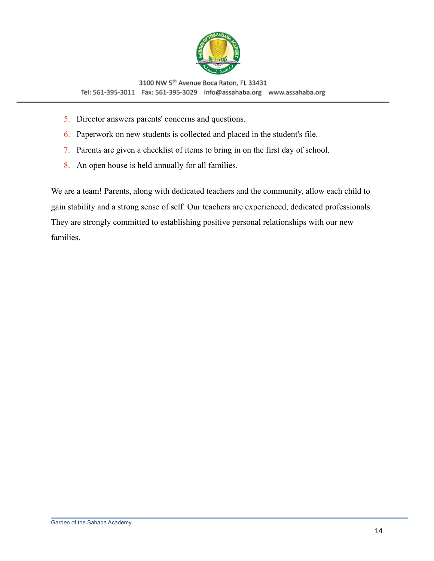

- 5. Director answers parents' concerns and questions.
- 6. Paperwork on new students is collected and placed in the student's file.
- 7. Parents are given a checklist of items to bring in on the first day of school.
- 8. An open house is held annually for all families.

We are a team! Parents, along with dedicated teachers and the community, allow each child to gain stability and a strong sense of self. Our teachers are experienced, dedicated professionals. They are strongly committed to establishing positive personal relationships with our new families.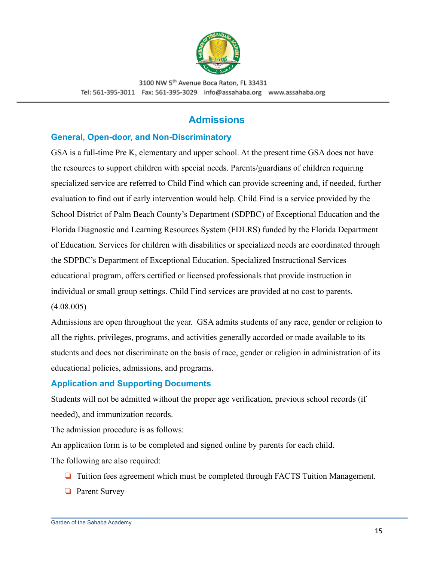

## **Admissions**

#### <span id="page-14-1"></span><span id="page-14-0"></span>**General, Open-door, and Non-Discriminatory**

GSA is a full-time Pre K, elementary and upper school. At the present time GSA does not have the resources to support children with special needs. Parents/guardians of children requiring specialized service are referred to Child Find which can provide screening and, if needed, further evaluation to find out if early intervention would help. Child Find is a service provided by the School District of Palm Beach County's Department (SDPBC) of Exceptional Education and the Florida Diagnostic and Learning Resources System (FDLRS) funded by the Florida Department of Education. Services for children with disabilities or specialized needs are coordinated through the SDPBC's Department of Exceptional Education. Specialized Instructional Services educational program, offers certified or licensed professionals that provide instruction in individual or small group settings. Child Find services are provided at no cost to parents. (4.08.005)

Admissions are open throughout the year. GSA admits students of any race, gender or religion to all the rights, privileges, programs, and activities generally accorded or made available to its students and does not discriminate on the basis of race, gender or religion in administration of its educational policies, admissions, and programs.

#### <span id="page-14-2"></span>**Application and Supporting Documents**

Students will not be admitted without the proper age verification, previous school records (if needed), and immunization records.

The admission procedure is as follows:

An application form is to be completed and signed online by parents for each child. The following are also required:

- ❏ Tuition fees agreement which must be completed through FACTS Tuition Management.
- ❏ Parent Survey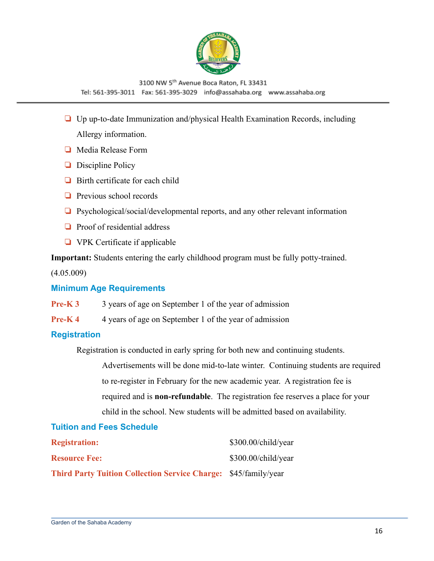

- ❏ Up up-to-date Immunization and/physical Health Examination Records, including Allergy information.
- ❏ Media Release Form
- ❏ Discipline Policy
- ❏ Birth certificate for each child
- ❏ Previous school records
- ❏ Psychological/social/developmental reports, and any other relevant information
- ❏ Proof of residential address
- ❏ VPK Certificate if applicable

**Important:** Students entering the early childhood program must be fully potty-trained.

(4.05.009)

#### <span id="page-15-0"></span>**Minimum Age Requirements**

- **Pre-K 3** 3 years of age on September 1 of the year of admission
- **Pre-K 4** 4 years of age on September 1 of the year of admission

#### <span id="page-15-1"></span>**Registration**

Registration is conducted in early spring for both new and continuing students.

Advertisements will be done mid-to-late winter. Continuing students are required to re-register in February for the new academic year. A registration fee is required and is **non-refundable**. The registration fee reserves a place for your child in the school. New students will be admitted based on availability.

#### <span id="page-15-2"></span>**Tuition and Fees Schedule**

| <b>Registration:</b>                                                   | \$300.00/child/year |
|------------------------------------------------------------------------|---------------------|
| <b>Resource Fee:</b>                                                   | \$300.00/child/year |
| <b>Third Party Tuition Collection Service Charge: \$45/family/year</b> |                     |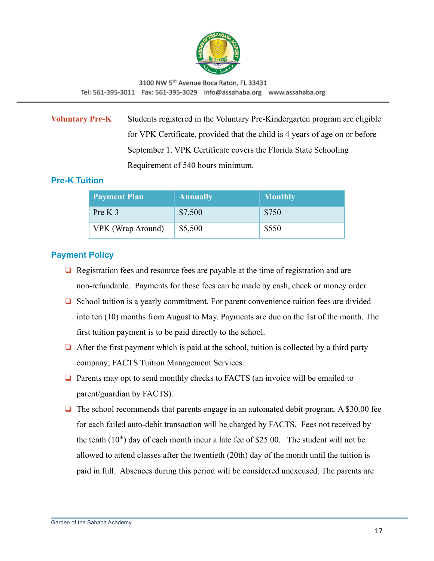

**Voluntary Pre-K** Students registered in the Voluntary Pre-Kindergarten program are eligible for VPK Certificate, provided that the child is 4 years of age on or before September 1. VPK Certificate covers the Florida State Schooling Requirement of 540 hours minimum.

#### <span id="page-16-0"></span>**Pre-K Tuition**

| <b>Payment Plan</b> | <b>Annually</b> | <b>Monthly</b> |
|---------------------|-----------------|----------------|
| Pre K $3$           | \$7,500         | \$750          |
| VPK (Wrap Around)   | \$5,500         | \$550          |

#### <span id="page-16-1"></span>**Payment Policy**

- ❏ Registration fees and resource fees are payable at the time of registration and are non-refundable. Payments for these fees can be made by cash, check or money order.
- ❏ School tuition is a yearly commitment. For parent convenience tuition fees are divided into ten (10) months from August to May. Payments are due on the 1st of the month. The first tuition payment is to be paid directly to the school.
- $\Box$  After the first payment which is paid at the school, tuition is collected by a third party company; FACTS Tuition Management Services.
- ❏ Parents may opt to send monthly checks to FACTS (an invoice will be emailed to parent/guardian by FACTS).
- ❏ The school recommends that parents engage in an automated debit program. A \$30.00 fee for each failed auto-debit transaction will be charged by FACTS. Fees not received by the tenth  $(10<sup>th</sup>)$  day of each month incur a late fee of \$25.00. The student will not be allowed to attend classes after the twentieth (20th) day of the month until the tuition is paid in full. Absences during this period will be considered unexcused. The parents are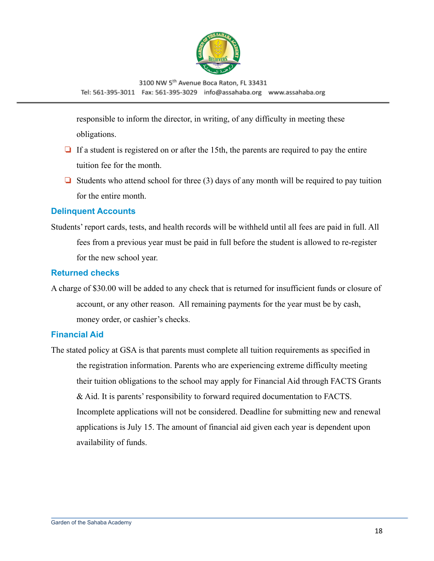

responsible to inform the director, in writing, of any difficulty in meeting these obligations.

- ❏ If a student is registered on or after the 15th, the parents are required to pay the entire tuition fee for the month.
- $\Box$  Students who attend school for three (3) days of any month will be required to pay tuition for the entire month.

#### <span id="page-17-0"></span>**Delinquent Accounts**

Students' report cards, tests, and health records will be withheld until all fees are paid in full. All fees from a previous year must be paid in full before the student is allowed to re-register for the new school year.

#### <span id="page-17-1"></span>**Returned checks**

A charge of \$30.00 will be added to any check that is returned for insufficient funds or closure of account, or any other reason. All remaining payments for the year must be by cash, money order, or cashier's checks.

#### <span id="page-17-2"></span>**Financial Aid**

The stated policy at GSA is that parents must complete all tuition requirements as specified in the registration information. Parents who are experiencing extreme difficulty meeting their tuition obligations to the school may apply for Financial Aid through FACTS Grants & Aid. It is parents' responsibility to forward required documentation to FACTS. Incomplete applications will not be considered. Deadline for submitting new and renewal applications is July 15. The amount of financial aid given each year is dependent upon availability of funds.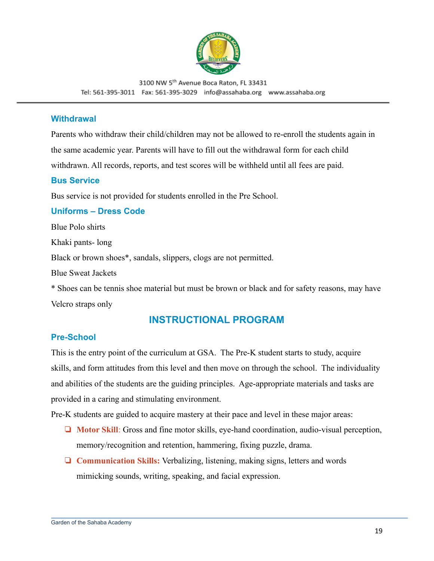

#### <span id="page-18-0"></span>**Withdrawal**

Parents who withdraw their child/children may not be allowed to re-enroll the students again in the same academic year. Parents will have to fill out the withdrawal form for each child withdrawn. All records, reports, and test scores will be withheld until all fees are paid.

#### <span id="page-18-1"></span>**Bus Service**

Bus service is not provided for students enrolled in the Pre School.

#### <span id="page-18-2"></span>**Uniforms – Dress Code**

Blue Polo shirts

Khaki pants- long

Black or brown shoes\*, sandals, slippers, clogs are not permitted.

Blue Sweat Jackets

\* Shoes can be tennis shoe material but must be brown or black and for safety reasons, may have Velcro straps only

#### **INSTRUCTIONAL PROGRAM**

#### <span id="page-18-4"></span><span id="page-18-3"></span>**Pre-School**

This is the entry point of the curriculum at GSA. The Pre-K student starts to study, acquire skills, and form attitudes from this level and then move on through the school. The individuality and abilities of the students are the guiding principles. Age-appropriate materials and tasks are provided in a caring and stimulating environment.

Pre-K students are guided to acquire mastery at their pace and level in these major areas:

- ❏ **Motor Skill**: Gross and fine motor skills, eye-hand coordination, audio-visual perception, memory/recognition and retention, hammering, fixing puzzle, drama.
- ❏ **Communication Skills:** Verbalizing, listening, making signs, letters and words mimicking sounds, writing, speaking, and facial expression.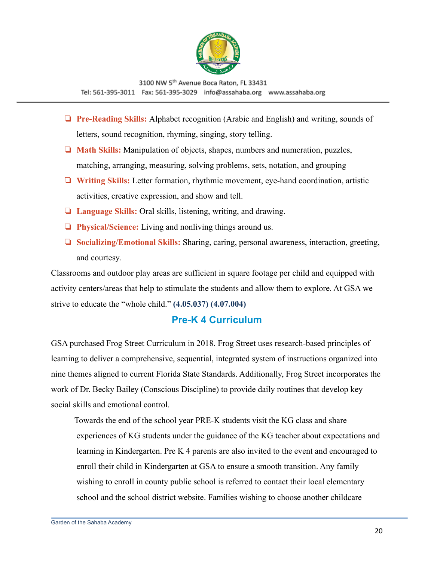

- ❏ **Pre-Reading Skills:** Alphabet recognition (Arabic and English) and writing, sounds of letters, sound recognition, rhyming, singing, story telling.
- ❏ **Math Skills:** Manipulation of objects, shapes, numbers and numeration, puzzles, matching, arranging, measuring, solving problems, sets, notation, and grouping
- ❏ **Writing Skills:** Letter formation, rhythmic movement, eye-hand coordination, artistic activities, creative expression, and show and tell.
- ❏ **Language Skills:** Oral skills, listening, writing, and drawing.
- ❏ **Physical/Science:** Living and nonliving things around us.
- ❏ **Socializing/Emotional Skills:** Sharing, caring, personal awareness, interaction, greeting, and courtesy.

Classrooms and outdoor play areas are sufficient in square footage per child and equipped with activity centers/areas that help to stimulate the students and allow them to explore. At GSA we strive to educate the "whole child." **(4.05.037) (4.07.004)**

## **Pre-K 4 Curriculum**

<span id="page-19-0"></span>GSA purchased Frog Street Curriculum in 2018. Frog Street uses research-based principles of learning to deliver a comprehensive, sequential, integrated system of instructions organized into nine themes aligned to current Florida State Standards. Additionally, Frog Street incorporates the work of Dr. Becky Bailey (Conscious Discipline) to provide daily routines that develop key social skills and emotional control.

Towards the end of the school year PRE-K students visit the KG class and share experiences of KG students under the guidance of the KG teacher about expectations and learning in Kindergarten. Pre K 4 parents are also invited to the event and encouraged to enroll their child in Kindergarten at GSA to ensure a smooth transition. Any family wishing to enroll in county public school is referred to contact their local elementary school and the school district website. Families wishing to choose another childcare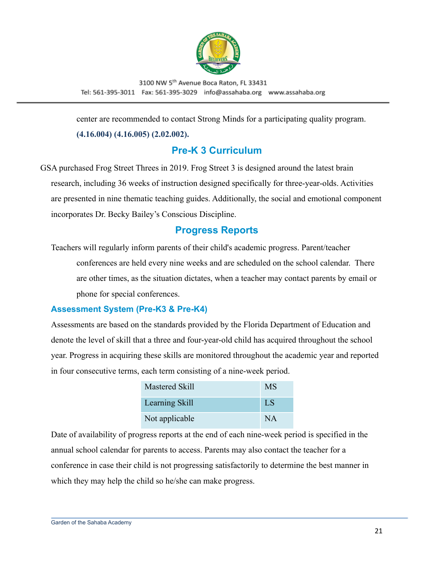

center are recommended to contact Strong Minds for a participating quality program.

#### **(4.16.004) (4.16.005) (2.02.002).**

## **Pre-K 3 Curriculum**

<span id="page-20-0"></span>GSA purchased Frog Street Threes in 2019. Frog Street 3 is designed around the latest brain research, including 36 weeks of instruction designed specifically for three-year-olds. Activities are presented in nine thematic teaching guides. Additionally, the social and emotional component incorporates Dr. Becky Bailey's Conscious Discipline.

### **Progress Reports**

<span id="page-20-1"></span>Teachers will regularly inform parents of their child's academic progress. Parent/teacher conferences are held every nine weeks and are scheduled on the school calendar. There are other times, as the situation dictates, when a teacher may contact parents by email or phone for special conferences.

#### <span id="page-20-2"></span>**Assessment System (Pre-K3 & Pre-K4)**

Assessments are based on the standards provided by the Florida Department of Education and denote the level of skill that a three and four-year-old child has acquired throughout the school year. Progress in acquiring these skills are monitored throughout the academic year and reported in four consecutive terms, each term consisting of a nine-week period.

| <b>Mastered Skill</b> | <b>MS</b> |
|-----------------------|-----------|
| <b>Learning Skill</b> | <b>LS</b> |
| Not applicable        | <b>NA</b> |

Date of availability of progress reports at the end of each nine-week period is specified in the annual school calendar for parents to access. Parents may also contact the teacher for a conference in case their child is not progressing satisfactorily to determine the best manner in which they may help the child so he/she can make progress.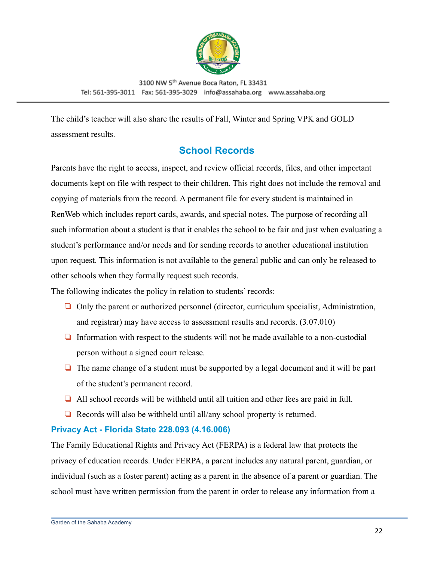

The child's teacher will also share the results of Fall, Winter and Spring VPK and GOLD assessment results.

## **School Records**

<span id="page-21-0"></span>Parents have the right to access, inspect, and review official records, files, and other important documents kept on file with respect to their children. This right does not include the removal and copying of materials from the record. A permanent file for every student is maintained in RenWeb which includes report cards, awards, and special notes. The purpose of recording all such information about a student is that it enables the school to be fair and just when evaluating a student's performance and/or needs and for sending records to another educational institution upon request. This information is not available to the general public and can only be released to other schools when they formally request such records.

The following indicates the policy in relation to students' records:

- ❏ Only the parent or authorized personnel (director, curriculum specialist, Administration, and registrar) may have access to assessment results and records. (3.07.010)
- ❏ Information with respect to the students will not be made available to a non-custodial person without a signed court release.
- ❏ The name change of a student must be supported by a legal document and it will be part of the student's permanent record.
- ❏ All school records will be withheld until all tuition and other fees are paid in full.
- ❏ Records will also be withheld until all/any school property is returned.

#### <span id="page-21-1"></span>**Privacy Act - Florida State 228.093 (4.16.006)**

The Family Educational Rights and Privacy Act (FERPA) is a federal law that protects the privacy of education records. Under FERPA, a parent includes any natural parent, guardian, or individual (such as a foster parent) acting as a parent in the absence of a parent or guardian. The school must have written permission from the parent in order to release any information from a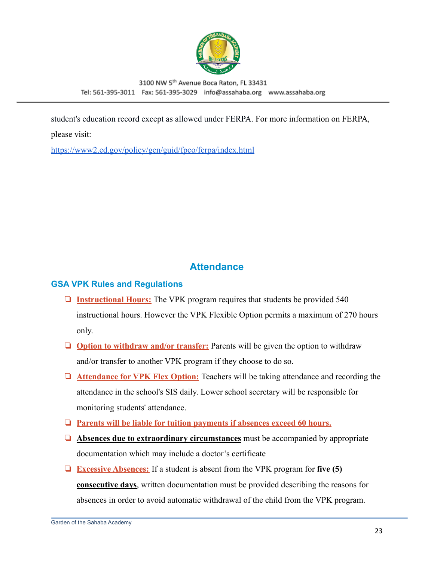

student's education record except as allowed under FERPA. For more information on FERPA, please visit:

<https://www2.ed.gov/policy/gen/guid/fpco/ferpa/index.html>

## **Attendance**

#### <span id="page-22-1"></span><span id="page-22-0"></span>**GSA VPK Rules and Regulations**

- ❏ **Instructional Hours:** The VPK program requires that students be provided 540 instructional hours. However the VPK Flexible Option permits a maximum of 270 hours only.
- ❏ **Option to withdraw and/or transfer:** Parents will be given the option to withdraw and/or transfer to another VPK program if they choose to do so.
- ❏ **Attendance for VPK Flex Option:** Teachers will be taking attendance and recording the attendance in the school's SIS daily. Lower school secretary will be responsible for monitoring students' attendance.
- ❏ **Parents will be liable for tuition payments if absences exceed 60 hours.**
- ❏ **Absences due to extraordinary circumstances** must be accompanied by appropriate documentation which may include a doctor's certificate
- ❏ **Excessive Absences:** If a student is absent from the VPK program for **five (5) consecutive days**, written documentation must be provided describing the reasons for absences in order to avoid automatic withdrawal of the child from the VPK program.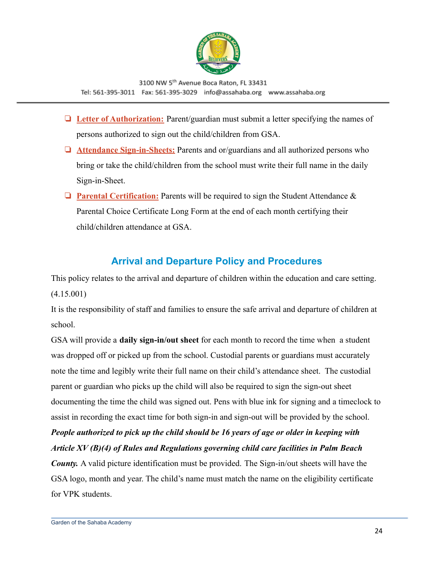

- ❏ **Letter of Authorization:** Parent/guardian must submit a letter specifying the names of persons authorized to sign out the child/children from GSA.
- ❏ **Attendance Sign-in-Sheets:** Parents and or/guardians and all authorized persons who bring or take the child/children from the school must write their full name in the daily Sign-in-Sheet.
- ❏ **Parental Certification:** Parents will be required to sign the Student Attendance & Parental Choice Certificate Long Form at the end of each month certifying their child/children attendance at GSA

## **Arrival and Departure Policy and Procedures**

<span id="page-23-0"></span>This policy relates to the arrival and departure of children within the education and care setting. (4.15.001)

It is the responsibility of staff and families to ensure the safe arrival and departure of children at school.

GSA will provide a **daily sign-in/out sheet** for each month to record the time when a student was dropped off or picked up from the school. Custodial parents or guardians must accurately note the time and legibly write their full name on their child's attendance sheet. The custodial parent or guardian who picks up the child will also be required to sign the sign-out sheet documenting the time the child was signed out. Pens with blue ink for signing and a timeclock to assist in recording the exact time for both sign-in and sign-out will be provided by the school. *People authorized to pick up the child should be 16 years of age or older in keeping with*

*Article XV (B)(4) of Rules and Regulations governing child care facilities in Palm Beach*

*County.* A valid picture identification must be provided. The Sign-in/out sheets will have the GSA logo, month and year. The child's name must match the name on the eligibility certificate for VPK students.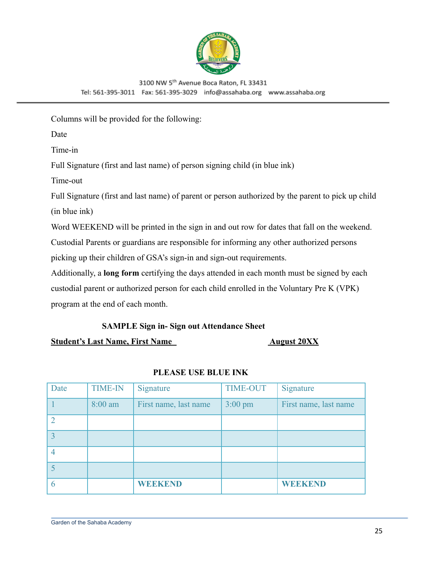

Columns will be provided for the following:

Date

Time-in

Full Signature (first and last name) of person signing child (in blue ink)

Time-out

Full Signature (first and last name) of parent or person authorized by the parent to pick up child (in blue ink)

Word WEEKEND will be printed in the sign in and out row for dates that fall on the weekend.

Custodial Parents or guardians are responsible for informing any other authorized persons

picking up their children of GSA's sign-in and sign-out requirements.

Additionally, a **long form** certifying the days attended in each month must be signed by each custodial parent or authorized person for each child enrolled in the Voluntary Pre K (VPK) program at the end of each month.

#### **SAMPLE Sign in- Sign out Attendance Sheet**

**Student's Last Name, First Name August 20XX** 

| Date | <b>TIME-IN</b> | Signature             | <b>TIME-OUT</b>   | Signature             |
|------|----------------|-----------------------|-------------------|-----------------------|
|      | $8:00$ am      | First name, last name | $3:00 \text{ pm}$ | First name, last name |
|      |                |                       |                   |                       |
|      |                |                       |                   |                       |
|      |                |                       |                   |                       |
|      |                |                       |                   |                       |
|      |                | <b>WEEKEND</b>        |                   | <b>WEEKEND</b>        |

#### **PLEASE USE BLUE INK**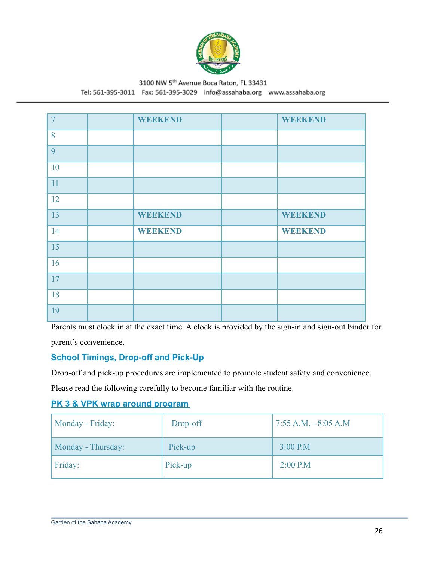

## 3100 NW 5th Avenue Boca Raton, FL 33431

Tel: 561-395-3011 Fax: 561-395-3029 info@assahaba.org www.assahaba.org

| $\overline{7}$ | <b>WEEKEND</b> | <b>WEEKEND</b> |
|----------------|----------------|----------------|
| 8              |                |                |
| 9              |                |                |
| 10             |                |                |
| 11             |                |                |
| 12             |                |                |
| 13             | <b>WEEKEND</b> | <b>WEEKEND</b> |
| 14             | <b>WEEKEND</b> | <b>WEEKEND</b> |
| 15             |                |                |
| 16             |                |                |
| 17             |                |                |
| 18             |                |                |
| 19             |                |                |

Parents must clock in at the exact time. A clock is provided by the sign-in and sign-out binder for parent's convenience.

#### <span id="page-25-0"></span>**School Timings, Drop-off and Pick-Up**

Drop-off and pick-up procedures are implemented to promote student safety and convenience.

Please read the following carefully to become familiar with the routine.

#### **PK 3 & VPK wrap around program**

| Monday - Friday:   | Drop-off | $17:55$ A.M. - 8:05 A.M |
|--------------------|----------|-------------------------|
| Monday - Thursday: | Pick-up  | $3:00$ P.M              |
| Friday:            | Pick-up  | $2:00$ P.M              |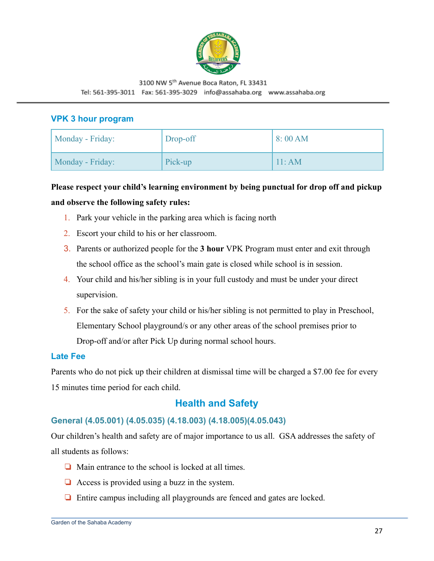

#### <span id="page-26-0"></span>**VPK 3 hour program**

| Monday - Friday: | Drop-off | 8:00AM        |
|------------------|----------|---------------|
| Monday - Friday: | Pick-up  | $11 \cdot AM$ |

## **Please respect your child's learning environment by being punctual for drop off and pickup and observe the following safety rules:**

- 1. Park your vehicle in the parking area which is facing north
- 2. Escort your child to his or her classroom.
- 3. Parents or authorized people for the **3 hour** VPK Program must enter and exit through the school office as the school's main gate is closed while school is in session.
- 4. Your child and his/her sibling is in your full custody and must be under your direct supervision.
- 5. For the sake of safety your child or his/her sibling is not permitted to play in Preschool, Elementary School playground/s or any other areas of the school premises prior to Drop-off and/or after Pick Up during normal school hours.

#### <span id="page-26-1"></span>**Late Fee**

Parents who do not pick up their children at dismissal time will be charged a \$7.00 fee for every 15 minutes time period for each child.

## **Health and Safety**

#### <span id="page-26-3"></span><span id="page-26-2"></span>**General (4.05.001) (4.05.035) (4.18.003) (4.18.005)(4.05.043)**

Our children's health and safety are of major importance to us all. GSA addresses the safety of all students as follows:

- ❏ Main entrance to the school is locked at all times.
- $\Box$  Access is provided using a buzz in the system.
- ❏ Entire campus including all playgrounds are fenced and gates are locked.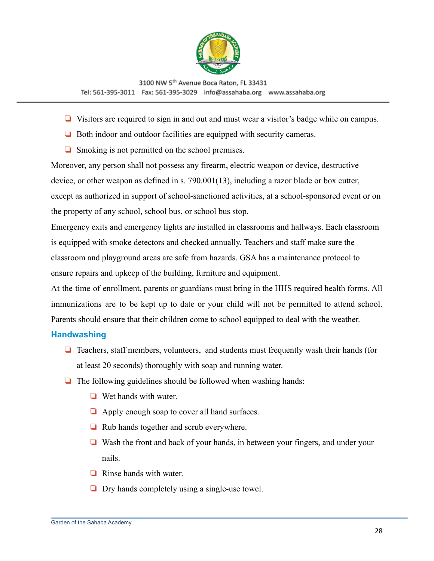

- ❏ Visitors are required to sign in and out and must wear a visitor's badge while on campus.
- ❏ Both indoor and outdoor facilities are equipped with security cameras.
- ❏ Smoking is not permitted on the school premises.

Moreover, any person shall not possess any firearm, electric weapon or device, destructive device, or other weapon as defined in s. [790.001](http://www.leg.state.fl.us/Statutes/index.cfm?App_mode=Display_Statute&Search_String=&URL=0700-0799/0790/Sections/0790.001.html)(13), including a razor blade or box cutter, except as authorized in support of school-sanctioned activities, at a school-sponsored event or on the property of any school, school bus, or school bus stop.

Emergency exits and emergency lights are installed in classrooms and hallways. Each classroom is equipped with smoke detectors and checked annually. Teachers and staff make sure the classroom and playground areas are safe from hazards. GSA has a maintenance protocol to ensure repairs and upkeep of the building, furniture and equipment.

At the time of enrollment, parents or guardians must bring in the HHS required health forms. All immunizations are to be kept up to date or your child will not be permitted to attend school. Parents should ensure that their children come to school equipped to deal with the weather.

#### <span id="page-27-0"></span>**Handwashing**

- ❏ Teachers, staff members, volunteers, and students must frequently wash their hands (for at least 20 seconds) thoroughly with soap and running water.
- ❏ The following guidelines should be followed when washing hands:
	- ❏ Wet hands with water.
	- ❏ Apply enough soap to cover all hand surfaces.
	- ❏ Rub hands together and scrub everywhere.
	- ❏ Wash the front and back of your hands, in between your fingers, and under your nails.
	- ❏ Rinse hands with water.
	- ❏ Dry hands completely using a single-use towel.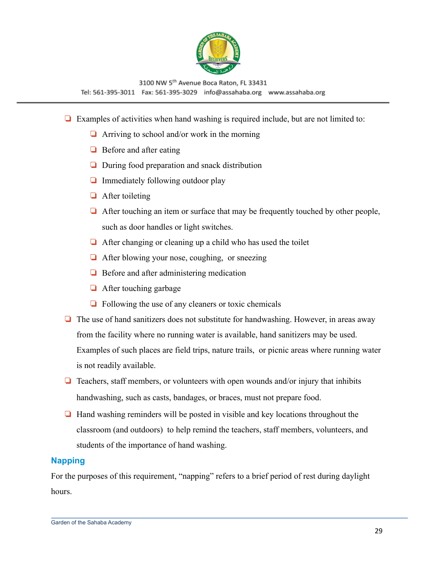

- ❏ Examples of activities when hand washing is required include, but are not limited to:
	- $\Box$  Arriving to school and/or work in the morning
	- ❏ Before and after eating
	- ❏ During food preparation and snack distribution
	- ❏ Immediately following outdoor play
	- ❏ After toileting
	- ❏ After touching an item or surface that may be frequently touched by other people, such as door handles or light switches.
	- ❏ After changing or cleaning up a child who has used the toilet
	- ❏ After blowing your nose, coughing, or sneezing
	- ❏ Before and after administering medication
	- ❏ After touching garbage
	- $\Box$  Following the use of any cleaners or toxic chemicals
- ❏ The use of hand sanitizers does not substitute for handwashing. However, in areas away from the facility where no running water is available, hand sanitizers may be used. Examples of such places are field trips, nature trails, or picnic areas where running water is not readily available.
- $\Box$  Teachers, staff members, or volunteers with open wounds and/or injury that inhibits handwashing, such as casts, bandages, or braces, must not prepare food.
- ❏ Hand washing reminders will be posted in visible and key locations throughout the classroom (and outdoors) to help remind the teachers, staff members, volunteers, and students of the importance of hand washing.

#### <span id="page-28-0"></span>**Napping**

For the purposes of this requirement, "napping" refers to a brief period of rest during daylight hours.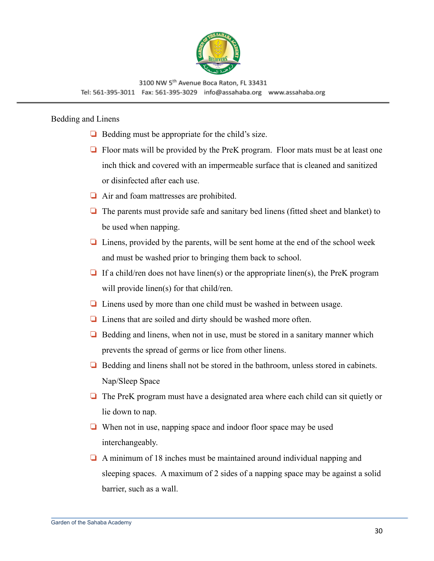

#### Bedding and Linens

- ❏ Bedding must be appropriate for the child's size.
- ❏ Floor mats will be provided by the PreK program. Floor mats must be at least one inch thick and covered with an impermeable surface that is cleaned and sanitized or disinfected after each use.
- ❏ Air and foam mattresses are prohibited.
- ❏ The parents must provide safe and sanitary bed linens (fitted sheet and blanket) to be used when napping.
- ❏ Linens, provided by the parents, will be sent home at the end of the school week and must be washed prior to bringing them back to school.
- $\Box$  If a child/ren does not have linen(s) or the appropriate linen(s), the PreK program will provide linen(s) for that child/ren.
- ❏ Linens used by more than one child must be washed in between usage.
- ❏ Linens that are soiled and dirty should be washed more often.
- ❏ Bedding and linens, when not in use, must be stored in a sanitary manner which prevents the spread of germs or lice from other linens.
- ❏ Bedding and linens shall not be stored in the bathroom, unless stored in cabinets. Nap/Sleep Space
- ❏ The PreK program must have a designated area where each child can sit quietly or lie down to nap.
- ❏ When not in use, napping space and indoor floor space may be used interchangeably.
- ❏ A minimum of 18 inches must be maintained around individual napping and sleeping spaces. A maximum of 2 sides of a napping space may be against a solid barrier, such as a wall.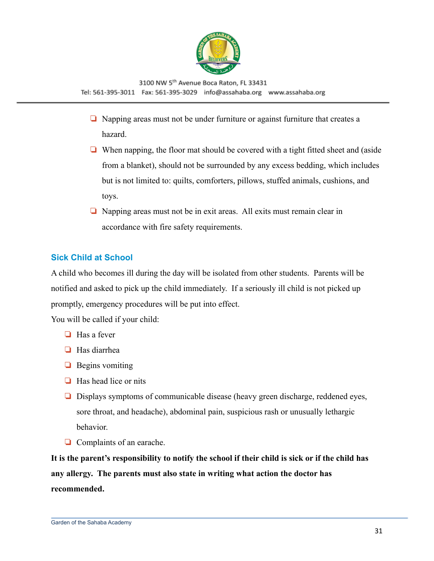

- ❏ Napping areas must not be under furniture or against furniture that creates a hazard.
- ❏ When napping, the floor mat should be covered with a tight fitted sheet and (aside from a blanket), should not be surrounded by any excess bedding, which includes but is not limited to: quilts, comforters, pillows, stuffed animals, cushions, and toys.
- ❏ Napping areas must not be in exit areas. All exits must remain clear in accordance with fire safety requirements.

#### <span id="page-30-0"></span>**Sick Child at School**

A child who becomes ill during the day will be isolated from other students. Parents will be notified and asked to pick up the child immediately. If a seriously ill child is not picked up promptly, emergency procedures will be put into effect.

You will be called if your child:

- ❏ Has a fever
- ❏ Has diarrhea
- ❏ Begins vomiting
- ❏ Has head lice or nits
- ❏ Displays symptoms of communicable disease (heavy green discharge, reddened eyes, sore throat, and headache), abdominal pain, suspicious rash or unusually lethargic behavior.
- ❏ Complaints of an earache.

**It is the parent's responsibility to notify the school if their child is sick or if the child has any allergy. The parents must also state in writing what action the doctor has recommended.**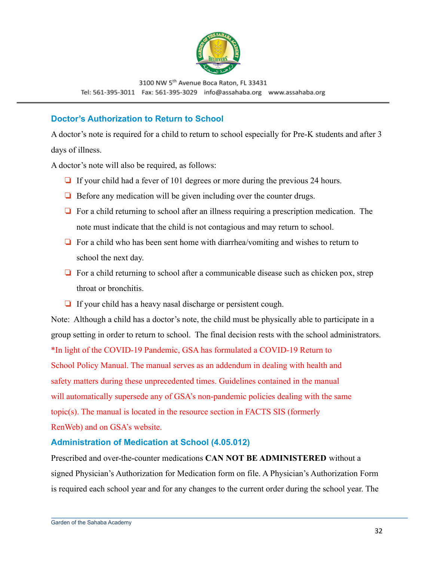

#### <span id="page-31-0"></span>**Doctor's Authorization to Return to School**

A doctor's note is required for a child to return to school especially for Pre-K students and after 3 days of illness.

A doctor's note will also be required, as follows:

- ❏ If your child had a fever of 101 degrees or more during the previous 24 hours.
- ❏ Before any medication will be given including over the counter drugs.
- ❏ For a child returning to school after an illness requiring a prescription medication. The note must indicate that the child is not contagious and may return to school.
- ❏ For a child who has been sent home with diarrhea/vomiting and wishes to return to school the next day.
- ❏ For a child returning to school after a communicable disease such as chicken pox, strep throat or bronchitis.
- ❏ If your child has a heavy nasal discharge or persistent cough.

Note: Although a child has a doctor's note, the child must be physically able to participate in a group setting in order to return to school. The final decision rests with the school administrators. \*In light of the COVID-19 Pandemic, GSA has formulated a COVID-19 Return to School Policy Manual. The manual serves as an addendum in dealing with health and safety matters during these unprecedented times. Guidelines contained in the manual will automatically supersede any of GSA's non-pandemic policies dealing with the same topic(s). The manual is located in the resource section in FACTS SIS (formerly RenWeb) and on GSA's website.

#### <span id="page-31-1"></span>**Administration of Medication at School (4.05.012)**

Prescribed and over-the-counter medications **CAN NOT BE ADMINISTERED** without a signed Physician's Authorization for Medication form on file. A Physician's Authorization Form is required each school year and for any changes to the current order during the school year. The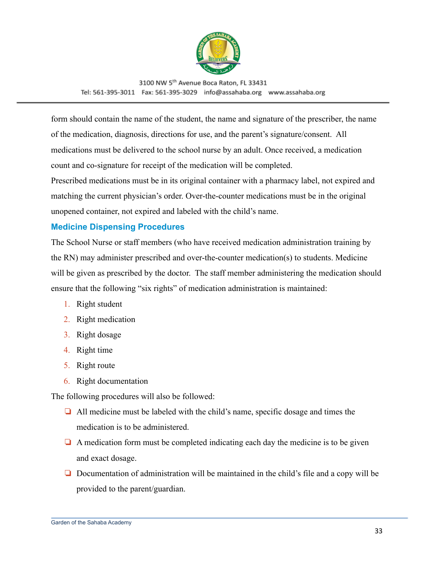

form should contain the name of the student, the name and signature of the prescriber, the name of the medication, diagnosis, directions for use, and the parent's signature/consent. All medications must be delivered to the school nurse by an adult. Once received, a medication count and co-signature for receipt of the medication will be completed.

Prescribed medications must be in its original container with a pharmacy label, not expired and matching the current physician's order. Over-the-counter medications must be in the original unopened container, not expired and labeled with the child's name.

#### <span id="page-32-0"></span>**Medicine Dispensing Procedures**

The School Nurse or staff members (who have received medication administration training by the RN) may administer prescribed and over-the-counter medication(s) to students. Medicine will be given as prescribed by the doctor. The staff member administering the medication should ensure that the following "six rights" of medication administration is maintained:

- 1. Right student
- 2. Right medication
- 3. Right dosage
- 4. Right time
- 5. Right route
- 6. Right documentation

The following procedures will also be followed:

- ❏ All medicine must be labeled with the child's name, specific dosage and times the medication is to be administered.
- $\Box$  A medication form must be completed indicating each day the medicine is to be given and exact dosage.
- ❏ Documentation of administration will be maintained in the child's file and a copy will be provided to the parent/guardian.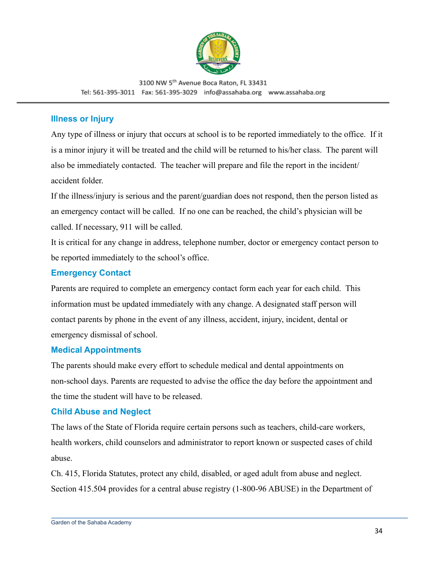

#### <span id="page-33-0"></span>**Illness or Injury**

Any type of illness or injury that occurs at school is to be reported immediately to the office. If it is a minor injury it will be treated and the child will be returned to his/her class. The parent will also be immediately contacted. The teacher will prepare and file the report in the incident/ accident folder.

If the illness/injury is serious and the parent/guardian does not respond, then the person listed as an emergency contact will be called. If no one can be reached, the child's physician will be called. If necessary, 911 will be called.

It is critical for any change in address, telephone number, doctor or emergency contact person to be reported immediately to the school's office.

#### <span id="page-33-1"></span>**Emergency Contact**

Parents are required to complete an emergency contact form each year for each child. This information must be updated immediately with any change. A designated staff person will contact parents by phone in the event of any illness, accident, injury, incident, dental or emergency dismissal of school.

#### <span id="page-33-2"></span>**Medical Appointments**

The parents should make every effort to schedule medical and dental appointments on non-school days. Parents are requested to advise the office the day before the appointment and the time the student will have to be released.

#### <span id="page-33-3"></span>**Child Abuse and Neglect**

The laws of the State of Florida require certain persons such as teachers, child-care workers, health workers, child counselors and administrator to report known or suspected cases of child abuse.

Ch. 415, Florida Statutes, protect any child, disabled, or aged adult from abuse and neglect. Section 415.504 provides for a central abuse registry (1-800-96 ABUSE) in the Department of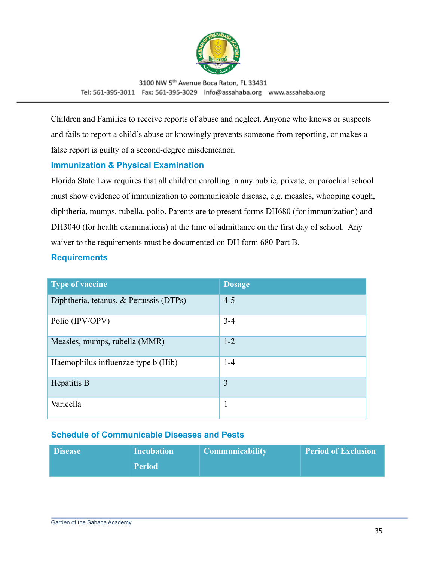

Children and Families to receive reports of abuse and neglect. Anyone who knows or suspects and fails to report a child's abuse or knowingly prevents someone from reporting, or makes a false report is guilty of a second-degree misdemeanor.

#### <span id="page-34-0"></span>**Immunization & Physical Examination**

Florida State Law requires that all children enrolling in any public, private, or parochial school must show evidence of immunization to communicable disease, e.g. measles, whooping cough, diphtheria, mumps, rubella, polio. Parents are to present forms DH680 (for immunization) and DH3040 (for health examinations) at the time of admittance on the first day of school. Any waiver to the requirements must be documented on DH form 680-Part B.

#### <span id="page-34-1"></span>**Requirements**

| <b>Type of vaccine</b>                  | <b>Dosage</b> |
|-----------------------------------------|---------------|
| Diphtheria, tetanus, & Pertussis (DTPs) | $4 - 5$       |
| Polio (IPV/OPV)                         | $3 - 4$       |
| Measles, mumps, rubella (MMR)           | $1 - 2$       |
| Haemophilus influenzae type b (Hib)     | $1-4$         |
| Hepatitis B                             | 3             |
| Varicella                               | 1             |

#### <span id="page-34-2"></span>**Schedule of Communicable Diseases and Pests**

| <b>Disease</b> | <b>Incubation</b> | <b>Communicability</b> | <b>Period of Exclusion</b> |
|----------------|-------------------|------------------------|----------------------------|
|                | <b>\Period</b>    |                        |                            |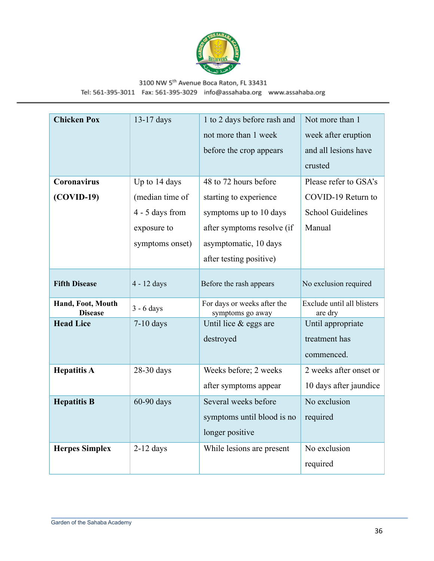

| <b>Chicken Pox</b>                  | 13-17 days      | 1 to 2 days before rash and                     | Not more than 1                       |
|-------------------------------------|-----------------|-------------------------------------------------|---------------------------------------|
|                                     |                 | not more than 1 week                            | week after eruption                   |
|                                     |                 | before the crop appears                         | and all lesions have                  |
|                                     |                 |                                                 | crusted                               |
| <b>Coronavirus</b>                  | Up to 14 days   | 48 to 72 hours before                           | Please refer to GSA's                 |
| $(COVID-19)$                        | (median time of | starting to experience                          | COVID-19 Return to                    |
|                                     | 4 - 5 days from | symptoms up to 10 days                          | <b>School Guidelines</b>              |
|                                     | exposure to     | after symptoms resolve (if                      | Manual                                |
|                                     | symptoms onset) | asymptomatic, 10 days                           |                                       |
|                                     |                 | after testing positive)                         |                                       |
| <b>Fifth Disease</b>                | 4 - 12 days     | Before the rash appears                         | No exclusion required                 |
| Hand, Foot, Mouth<br><b>Disease</b> | $3 - 6$ days    | For days or weeks after the<br>symptoms go away | Exclude until all blisters<br>are dry |
| <b>Head Lice</b>                    | $7-10$ days     | Until lice $&$ eggs are                         | Until appropriate                     |
|                                     |                 | destroyed                                       | treatment has                         |
|                                     |                 |                                                 | commenced.                            |
| <b>Hepatitis A</b>                  | 28-30 days      | Weeks before; 2 weeks                           | 2 weeks after onset or                |
|                                     |                 | after symptoms appear                           | 10 days after jaundice                |
| <b>Hepatitis B</b>                  | 60-90 days      | Several weeks before                            | No exclusion                          |
|                                     |                 | symptoms until blood is no                      | required                              |
|                                     |                 | longer positive                                 |                                       |
| <b>Herpes Simplex</b>               | $2-12$ days     | While lesions are present                       | No exclusion                          |
|                                     |                 |                                                 | required                              |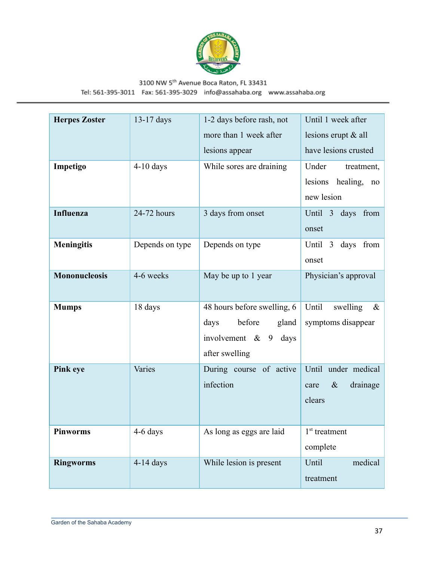

Tel: 561-395-3011 Fax: 561-395-3029 info@assahaba.org www.assahaba.org

| <b>Herpes Zoster</b> | $13-17$ days    | 1-2 days before rash, not<br>more than 1 week after                                                       | Until 1 week after<br>lesions erupt & all                      |
|----------------------|-----------------|-----------------------------------------------------------------------------------------------------------|----------------------------------------------------------------|
|                      |                 | lesions appear                                                                                            | have lesions crusted                                           |
| Impetigo             | $4-10$ days     | While sores are draining                                                                                  | Under<br>treatment,<br>lesions<br>healing,<br>no<br>new lesion |
| <b>Influenza</b>     | 24-72 hours     | 3 days from onset                                                                                         | Until 3<br>days<br>from<br>onset                               |
| <b>Meningitis</b>    | Depends on type | Depends on type                                                                                           | from<br>days<br>Until 3<br>onset                               |
| <b>Mononucleosis</b> | 4-6 weeks       | May be up to 1 year                                                                                       | Physician's approval                                           |
| <b>Mumps</b>         | 18 days         | 48 hours before swelling, 6<br>before<br>gland<br>days<br>involvement $\&$<br>9<br>days<br>after swelling | Until<br>swelling<br>$\&$<br>symptoms disappear                |
| <b>Pink eye</b>      | Varies          | During course of active<br>infection                                                                      | Until<br>under medical<br>$\&$<br>drainage<br>care<br>clears   |
| <b>Pinworms</b>      | 4-6 days        | As long as eggs are laid                                                                                  | 1 <sup>st</sup> treatment<br>complete                          |
| <b>Ringworms</b>     | $4-14$ days     | While lesion is present                                                                                   | medical<br>Until<br>treatment                                  |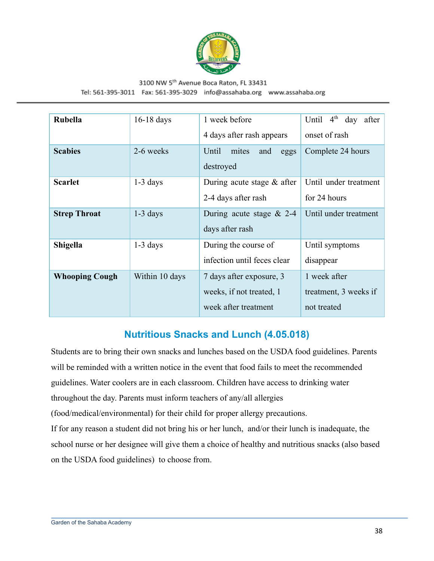

## 3100 NW 5th Avenue Boca Raton, FL 33431

Tel: 561-395-3011 Fax: 561-395-3029 info@assahaba.org www.assahaba.org

| Rubella               | $16-18$ days   | 1 week before<br>4 days after rash appears                                   | $4^{\text{th}}$<br>Until<br>day<br>after<br>onset of rash |
|-----------------------|----------------|------------------------------------------------------------------------------|-----------------------------------------------------------|
| <b>Scabies</b>        | 2-6 weeks      | Until<br>mites<br>and<br>eggs<br>destroyed                                   | Complete 24 hours                                         |
| <b>Scarlet</b>        | $1-3$ days     | During acute stage $&$ after<br>2-4 days after rash                          | Until under treatment<br>for 24 hours                     |
| <b>Strep Throat</b>   | $1-3$ days     | During acute stage $& 2-4$<br>days after rash                                | Until under treatment                                     |
| Shigella              | $1-3$ days     | During the course of<br>infection until feces clear                          | Until symptoms<br>disappear                               |
| <b>Whooping Cough</b> | Within 10 days | 7 days after exposure, 3<br>weeks, if not treated, 1<br>week after treatment | 1 week after<br>treatment, 3 weeks if<br>not treated      |

## **Nutritious Snacks and Lunch (4.05.018)**

<span id="page-37-0"></span>Students are to bring their own snacks and lunches based on the USDA food guidelines. Parents will be reminded with a written notice in the event that food fails to meet the recommended guidelines. Water coolers are in each classroom. Children have access to drinking water throughout the day. Parents must inform teachers of any/all allergies (food/medical/environmental) for their child for proper allergy precautions. If for any reason a student did not bring his or her lunch, and/or their lunch is inadequate, the school nurse or her designee will give them a choice of healthy and nutritious snacks (also based on the USDA food guidelines) to choose from.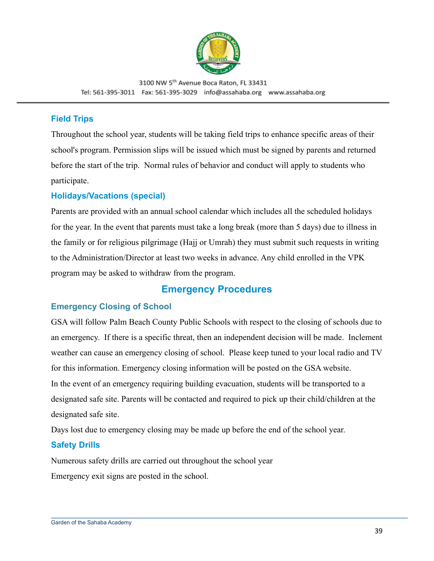

#### <span id="page-38-0"></span>**Field Trips**

Throughout the school year, students will be taking field trips to enhance specific areas of their school's program. Permission slips will be issued which must be signed by parents and returned before the start of the trip. Normal rules of behavior and conduct will apply to students who participate.

#### <span id="page-38-1"></span>**Holidays/Vacations (special)**

Parents are provided with an annual school calendar which includes all the scheduled holidays for the year. In the event that parents must take a long break (more than 5 days) due to illness in the family or for religious pilgrimage (Hajj or Umrah) they must submit such requests in writing to the Administration/Director at least two weeks in advance. Any child enrolled in the VPK program may be asked to withdraw from the program.

## **Emergency Procedures**

#### <span id="page-38-3"></span><span id="page-38-2"></span>**Emergency Closing of School**

GSA will follow Palm Beach County Public Schools with respect to the closing of schools due to an emergency. If there is a specific threat, then an independent decision will be made. Inclement weather can cause an emergency closing of school. Please keep tuned to your local radio and TV for this information. Emergency closing information will be posted on the GSA website. In the event of an emergency requiring building evacuation, students will be transported to a designated safe site. Parents will be contacted and required to pick up their child/children at the designated safe site.

Days lost due to emergency closing may be made up before the end of the school year.

#### <span id="page-38-4"></span>**Safety Drills**

Numerous safety drills are carried out throughout the school year Emergency exit signs are posted in the school.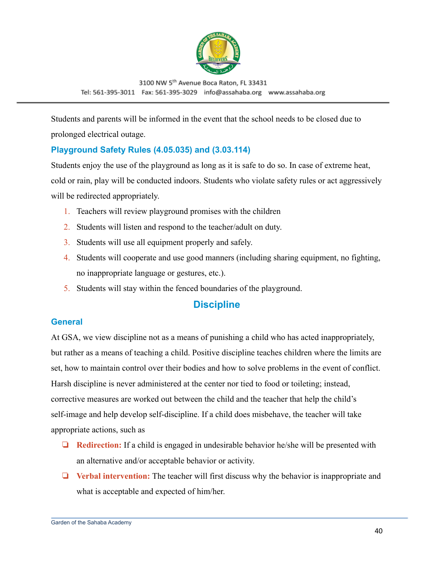

Students and parents will be informed in the event that the school needs to be closed due to prolonged electrical outage.

### <span id="page-39-0"></span>**Playground Safety Rules (4.05.035) and (3.03.114)**

Students enjoy the use of the playground as long as it is safe to do so. In case of extreme heat, cold or rain, play will be conducted indoors. Students who violate safety rules or act aggressively will be redirected appropriately.

- 1. Teachers will review playground promises with the children
- 2. Students will listen and respond to the teacher/adult on duty.
- 3. Students will use all equipment properly and safely.
- 4. Students will cooperate and use good manners (including sharing equipment, no fighting, no inappropriate language or gestures, etc.).
- 5. Students will stay within the fenced boundaries of the playground.

## **Discipline**

#### <span id="page-39-2"></span><span id="page-39-1"></span>**General**

At GSA, we view discipline not as a means of punishing a child who has acted inappropriately, but rather as a means of teaching a child. Positive discipline teaches children where the limits are set, how to maintain control over their bodies and how to solve problems in the event of conflict. Harsh discipline is never administered at the center nor tied to food or toileting; instead, corrective measures are worked out between the child and the teacher that help the child's self-image and help develop self-discipline. If a child does misbehave, the teacher will take appropriate actions, such as

- ❏ **Redirection:** If a child is engaged in undesirable behavior he/she will be presented with an alternative and/or acceptable behavior or activity.
- ❏ **Verbal intervention:** The teacher will first discuss why the behavior is inappropriate and what is acceptable and expected of him/her.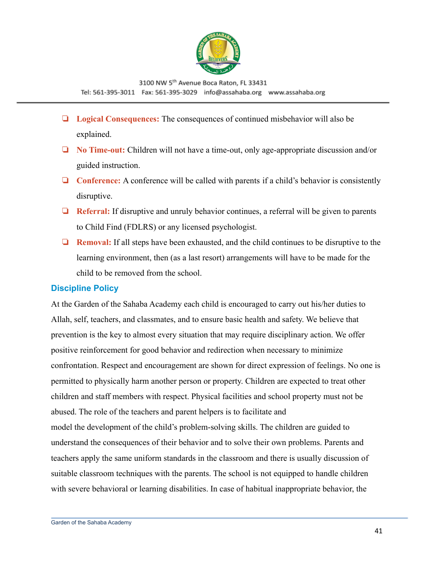

- ❏ **Logical Consequences:** The consequences of continued misbehavior will also be explained.
- ❏ **No Time-out:** Children will not have a time-out, only age-appropriate discussion and/or guided instruction.
- ❏ **Conference:** A conference will be called with parents if a child's behavior is consistently disruptive.
- ❏ **Referral:** If disruptive and unruly behavior continues, a referral will be given to parents to Child Find (FDLRS) or any licensed psychologist.
- ❏ **Removal:** If all steps have been exhausted, and the child continues to be disruptive to the learning environment, then (as a last resort) arrangements will have to be made for the child to be removed from the school.

#### <span id="page-40-0"></span>**Discipline Policy**

At the Garden of the Sahaba Academy each child is encouraged to carry out his/her duties to Allah, self, teachers, and classmates, and to ensure basic health and safety. We believe that prevention is the key to almost every situation that may require disciplinary action. We offer positive reinforcement for good behavior and redirection when necessary to minimize confrontation. Respect and encouragement are shown for direct expression of feelings. No one is permitted to physically harm another person or property. Children are expected to treat other children and staff members with respect. Physical facilities and school property must not be abused. The role of the teachers and parent helpers is to facilitate and model the development of the child's problem-solving skills. The children are guided to understand the consequences of their behavior and to solve their own problems. Parents and teachers apply the same uniform standards in the classroom and there is usually discussion of suitable classroom techniques with the parents. The school is not equipped to handle children with severe behavioral or learning disabilities. In case of habitual inappropriate behavior, the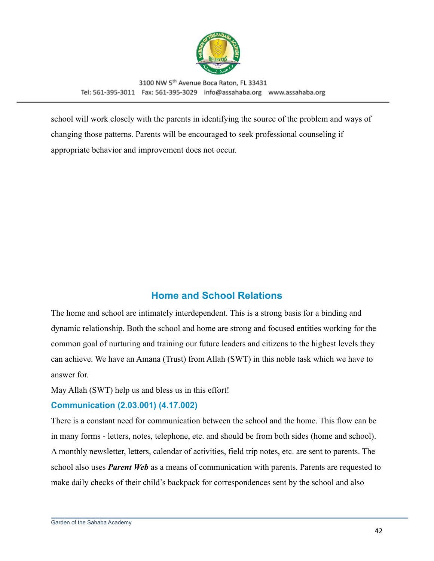

school will work closely with the parents in identifying the source of the problem and ways of changing those patterns. Parents will be encouraged to seek professional counseling if appropriate behavior and improvement does not occur.

## **Home and School Relations**

<span id="page-41-0"></span>The home and school are intimately interdependent. This is a strong basis for a binding and dynamic relationship. Both the school and home are strong and focused entities working for the common goal of nurturing and training our future leaders and citizens to the highest levels they can achieve. We have an Amana (Trust) from Allah (SWT) in this noble task which we have to answer for.

May Allah (SWT) help us and bless us in this effort!

#### <span id="page-41-1"></span>**Communication (2.03.001) (4.17.002)**

There is a constant need for communication between the school and the home. This flow can be in many forms - letters, notes, telephone, etc. and should be from both sides (home and school). A monthly newsletter, letters, calendar of activities, field trip notes, etc. are sent to parents. The school also uses *Parent Web* as a means of communication with parents. Parents are requested to make daily checks of their child's backpack for correspondences sent by the school and also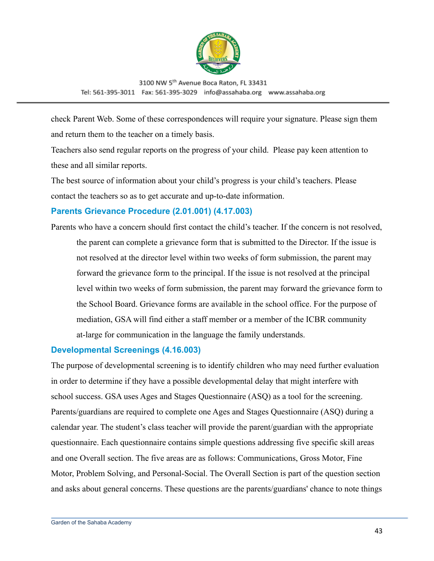

check Parent Web. Some of these correspondences will require your signature. Please sign them and return them to the teacher on a timely basis.

Teachers also send regular reports on the progress of your child. Please pay keen attention to these and all similar reports.

The best source of information about your child's progress is your child's teachers. Please contact the teachers so as to get accurate and up-to-date information.

#### <span id="page-42-0"></span>**Parents Grievance Procedure (2.01.001) (4.17.003)**

Parents who have a concern should first contact the child's teacher. If the concern is not resolved,

the parent can complete a grievance form that is submitted to the Director. If the issue is not resolved at the director level within two weeks of form submission, the parent may forward the grievance form to the principal. If the issue is not resolved at the principal level within two weeks of form submission, the parent may forward the grievance form to the School Board. Grievance forms are available in the school office. For the purpose of mediation, GSA will find either a staff member or a member of the ICBR community at-large for communication in the language the family understands.

#### <span id="page-42-1"></span>**Developmental Screenings (4.16.003)**

The purpose of developmental screening is to identify children who may need further evaluation in order to determine if they have a possible developmental delay that might interfere with school success. GSA uses Ages and Stages Questionnaire (ASQ) as a tool for the screening. Parents/guardians are required to complete one Ages and Stages Questionnaire (ASQ) during a calendar year. The student's class teacher will provide the parent/guardian with the appropriate questionnaire. Each questionnaire contains simple questions addressing five specific skill areas and one Overall section. The five areas are as follows: Communications, Gross Motor, Fine Motor, Problem Solving, and Personal-Social. The Overall Section is part of the question section and asks about general concerns. These questions are the parents/guardians' chance to note things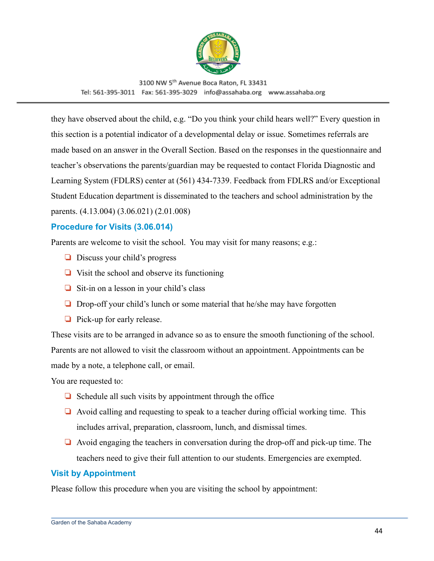

they have observed about the child, e.g. "Do you think your child hears well?" Every question in this section is a potential indicator of a developmental delay or issue. Sometimes referrals are made based on an answer in the Overall Section. Based on the responses in the questionnaire and teacher's observations the parents/guardian may be requested to contact Florida Diagnostic and Learning System (FDLRS) center at (561) 434-7339. Feedback from FDLRS and/or Exceptional Student Education department is disseminated to the teachers and school administration by the parents. (4.13.004) (3.06.021) (2.01.008)

#### <span id="page-43-0"></span>**Procedure for Visits (3.06.014)**

Parents are welcome to visit the school. You may visit for many reasons; e.g.:

- ❏ Discuss your child's progress
- ❏ Visit the school and observe its functioning
- ❏ Sit-in on a lesson in your child's class
- ❏ Drop-off your child's lunch or some material that he/she may have forgotten
- ❏ Pick-up for early release.

These visits are to be arranged in advance so as to ensure the smooth functioning of the school. Parents are not allowed to visit the classroom without an appointment. Appointments can be made by a note, a telephone call, or email.

You are requested to:

- $\Box$  Schedule all such visits by appointment through the office
- ❏ Avoid calling and requesting to speak to a teacher during official working time. This includes arrival, preparation, classroom, lunch, and dismissal times.
- ❏ Avoid engaging the teachers in conversation during the drop-off and pick-up time. The teachers need to give their full attention to our students. Emergencies are exempted.

#### <span id="page-43-1"></span>**Visit by Appointment**

Please follow this procedure when you are visiting the school by appointment: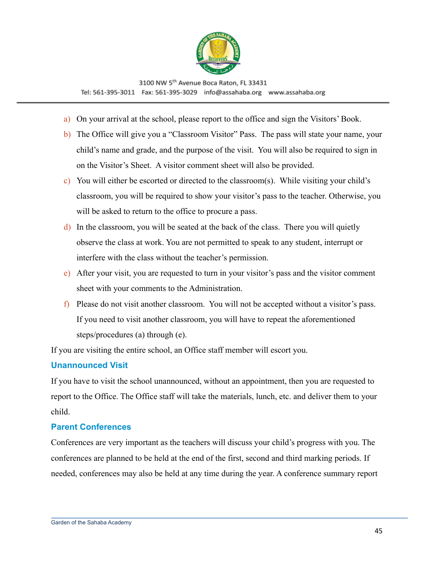

- a) On your arrival at the school, please report to the office and sign the Visitors' Book.
- b) The Office will give you a "Classroom Visitor" Pass. The pass will state your name, your child's name and grade, and the purpose of the visit. You will also be required to sign in on the Visitor's Sheet. A visitor comment sheet will also be provided.
- c) You will either be escorted or directed to the classroom(s). While visiting your child's classroom, you will be required to show your visitor's pass to the teacher. Otherwise, you will be asked to return to the office to procure a pass.
- d) In the classroom, you will be seated at the back of the class. There you will quietly observe the class at work. You are not permitted to speak to any student, interrupt or interfere with the class without the teacher's permission.
- e) After your visit, you are requested to turn in your visitor's pass and the visitor comment sheet with your comments to the Administration.
- f) Please do not visit another classroom. You will not be accepted without a visitor's pass. If you need to visit another classroom, you will have to repeat the aforementioned steps/procedures (a) through (e).

If you are visiting the entire school, an Office staff member will escort you.

#### <span id="page-44-0"></span>**Unannounced Visit**

If you have to visit the school unannounced, without an appointment, then you are requested to report to the Office. The Office staff will take the materials, lunch, etc. and deliver them to your child.

#### <span id="page-44-1"></span>**Parent Conferences**

Conferences are very important as the teachers will discuss your child's progress with you. The conferences are planned to be held at the end of the first, second and third marking periods. If needed, conferences may also be held at any time during the year. A conference summary report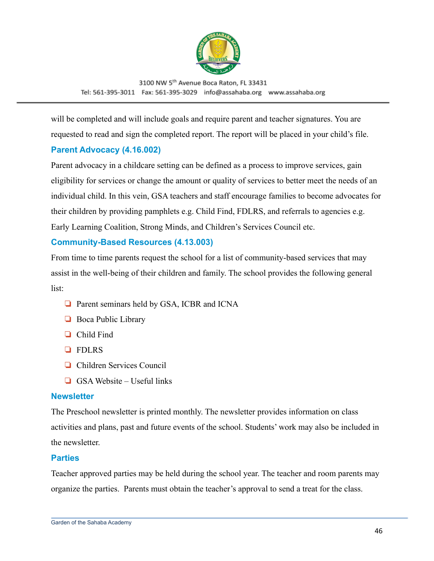

will be completed and will include goals and require parent and teacher signatures. You are requested to read and sign the completed report. The report will be placed in your child's file.

#### <span id="page-45-0"></span>**Parent Advocacy (4.16.002)**

Parent advocacy in a childcare setting can be defined as a process to improve services, gain eligibility for services or change the amount or quality of services to better meet the needs of an individual child. In this vein, GSA teachers and staff encourage families to become advocates for their children by providing pamphlets e.g. Child Find, FDLRS, and referrals to agencies e.g. Early Learning Coalition, Strong Minds, and Children's Services Council etc.

#### <span id="page-45-1"></span>**Community-Based Resources (4.13.003)**

From time to time parents request the school for a list of community-based services that may assist in the well-being of their children and family. The school provides the following general list:

- ❏ Parent seminars held by GSA, ICBR and ICNA
- ❏ Boca Public Library
- ❏ Child Find
- ❏ FDLRS
- ❏ Children Services Council
- $\Box$  GSA Website Useful links

#### <span id="page-45-2"></span>**Newsletter**

The Preschool newsletter is printed monthly. The newsletter provides information on class activities and plans, past and future events of the school. Students' work may also be included in the newsletter.

#### <span id="page-45-3"></span>**Parties**

Teacher approved parties may be held during the school year. The teacher and room parents may organize the parties. Parents must obtain the teacher's approval to send a treat for the class.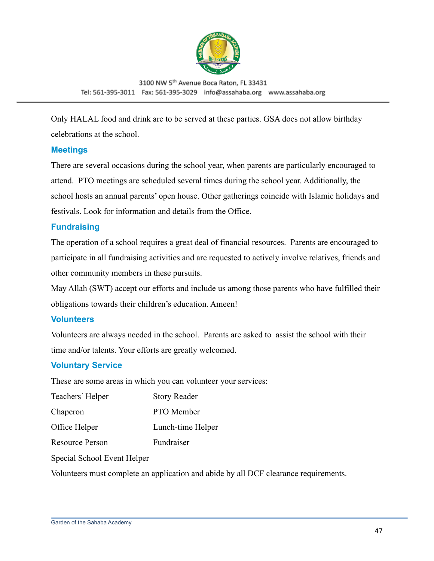

Only HALAL food and drink are to be served at these parties. GSA does not allow birthday celebrations at the school.

#### <span id="page-46-0"></span>**Meetings**

There are several occasions during the school year, when parents are particularly encouraged to attend. PTO meetings are scheduled several times during the school year. Additionally, the school hosts an annual parents' open house. Other gatherings coincide with Islamic holidays and festivals. Look for information and details from the Office.

#### <span id="page-46-1"></span>**Fundraising**

The operation of a school requires a great deal of financial resources. Parents are encouraged to participate in all fundraising activities and are requested to actively involve relatives, friends and other community members in these pursuits.

May Allah (SWT) accept our efforts and include us among those parents who have fulfilled their obligations towards their children's education. Ameen!

#### <span id="page-46-2"></span>**Volunteers**

Volunteers are always needed in the school. Parents are asked to assist the school with their time and/or talents. Your efforts are greatly welcomed.

#### <span id="page-46-3"></span>**Voluntary Service**

These are some areas in which you can volunteer your services:

| Teachers' Helper       | <b>Story Reader</b> |
|------------------------|---------------------|
| Chaperon               | PTO Member          |
| Office Helper          | Lunch-time Helper   |
| <b>Resource Person</b> | Fundraiser          |
|                        |                     |

Special School Event Helper

Volunteers must complete an application and abide by all DCF clearance requirements.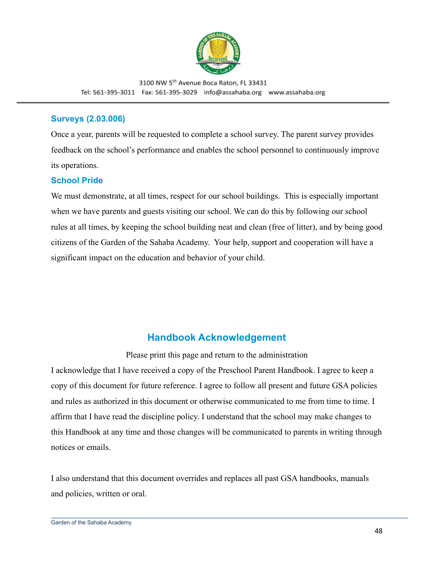

#### <span id="page-47-0"></span>**Surveys (2.03.006)**

Once a year, parents will be requested to complete a school survey. The parent survey provides feedback on the school's performance and enables the school personnel to continuously improve its operations.

#### <span id="page-47-1"></span>**School Pride**

We must demonstrate, at all times, respect for our school buildings. This is especially important when we have parents and guests visiting our school. We can do this by following our school rules at all times, by keeping the school building neat and clean (free of litter), and by being good citizens of the Garden of the Sahaba Academy. Your help, support and cooperation will have a significant impact on the education and behavior of your child.

## **Handbook Acknowledgement**

Please print this page and return to the administration

<span id="page-47-2"></span>I acknowledge that I have received a copy of the Preschool Parent Handbook. I agree to keep a copy of this document for future reference. I agree to follow all present and future GSA policies and rules as authorized in this document or otherwise communicated to me from time to time. I affirm that I have read the discipline policy. I understand that the school may make changes to this Handbook at any time and those changes will be communicated to parents in writing through notices or emails.

I also understand that this document overrides and replaces all past GSA handbooks, manuals and policies, written or oral.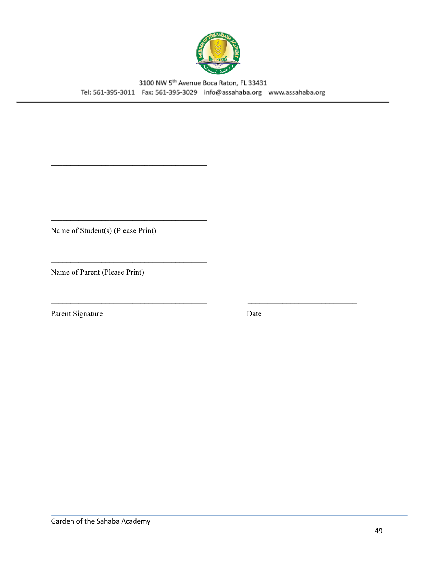

Name of Student(s) (Please Print)

Name of Parent (Please Print)

Parent Signature

Date